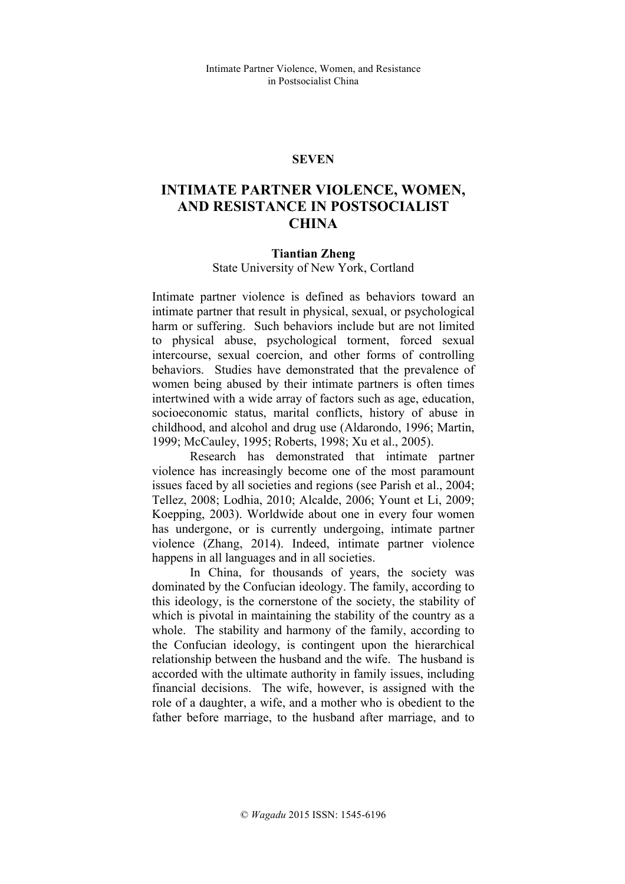## **SEVEN**

# **INTIMATE PARTNER VIOLENCE, WOMEN, AND RESISTANCE IN POSTSOCIALIST CHINA**

#### **Tiantian Zheng**

State University of New York, Cortland

Intimate partner violence is defined as behaviors toward an intimate partner that result in physical, sexual, or psychological harm or suffering. Such behaviors include but are not limited to physical abuse, psychological torment, forced sexual intercourse, sexual coercion, and other forms of controlling behaviors. Studies have demonstrated that the prevalence of women being abused by their intimate partners is often times intertwined with a wide array of factors such as age, education, socioeconomic status, marital conflicts, history of abuse in childhood, and alcohol and drug use (Aldarondo, 1996; Martin, 1999; McCauley, 1995; Roberts, 1998; Xu et al., 2005).

Research has demonstrated that intimate partner violence has increasingly become one of the most paramount issues faced by all societies and regions (see Parish et al., 2004; Tellez, 2008; Lodhia, 2010; Alcalde, 2006; Yount et Li, 2009; Koepping, 2003). Worldwide about one in every four women has undergone, or is currently undergoing, intimate partner violence (Zhang, 2014). Indeed, intimate partner violence happens in all languages and in all societies.

In China, for thousands of years, the society was dominated by the Confucian ideology. The family, according to this ideology, is the cornerstone of the society, the stability of which is pivotal in maintaining the stability of the country as a whole. The stability and harmony of the family, according to the Confucian ideology, is contingent upon the hierarchical relationship between the husband and the wife. The husband is accorded with the ultimate authority in family issues, including financial decisions. The wife, however, is assigned with the role of a daughter, a wife, and a mother who is obedient to the father before marriage, to the husband after marriage, and to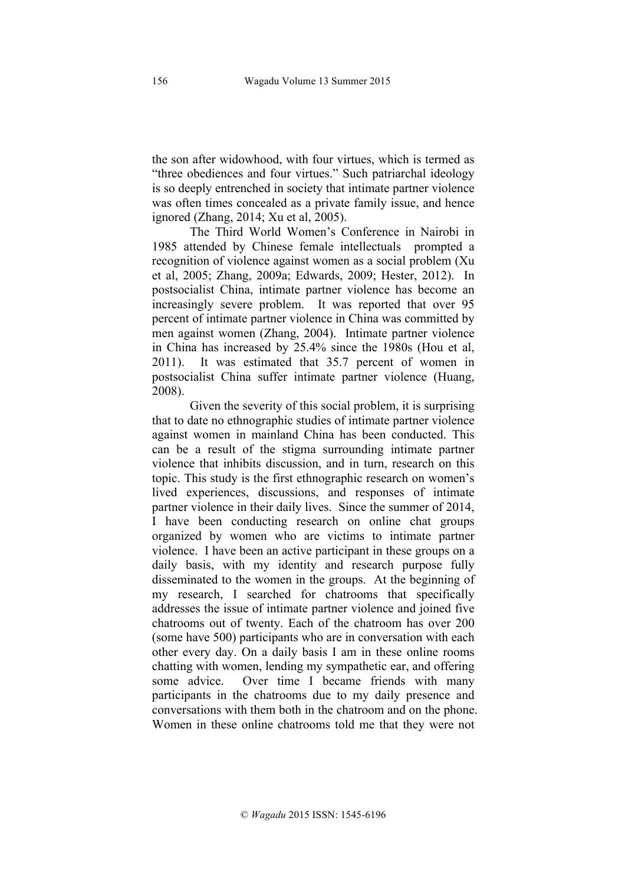the son after widowhood, with four virtues, which is termed as "three obediences and four virtues." Such patriarchal ideology is so deeply entrenched in society that intimate partner violence was often times concealed as a private family issue, and hence ignored (Zhang, 2014; Xu et al, 2005).

The Third World Women's Conference in Nairobi in 1985 attended by Chinese female intellectuals prompted a recognition of violence against women as a social problem (Xu et al, 2005; Zhang, 2009a; Edwards, 2009; Hester, 2012). In postsocialist China, intimate partner violence has become an increasingly severe problem. It was reported that over 95 percent of intimate partner violence in China was committed by men against women (Zhang, 2004). Intimate partner violence in China has increased by 25.4% since the 1980s (Hou et al, 2011). It was estimated that 35.7 percent of women in postsocialist China suffer intimate partner violence (Huang, 2008).

Given the severity of this social problem, it is surprising that to date no ethnographic studies of intimate partner violence against women in mainland China has been conducted. This can be a result of the stigma surrounding intimate partner violence that inhibits discussion, and in turn, research on this topic. This study is the first ethnographic research on women's lived experiences, discussions, and responses of intimate partner violence in their daily lives. Since the summer of 2014, I have been conducting research on online chat groups organized by women who are victims to intimate partner violence. I have been an active participant in these groups on a daily basis, with my identity and research purpose fully disseminated to the women in the groups. At the beginning of my research, I searched for chatrooms that specifically addresses the issue of intimate partner violence and joined five chatrooms out of twenty. Each of the chatroom has over 200 (some have 500) participants who are in conversation with each other every day. On a daily basis I am in these online rooms chatting with women, lending my sympathetic ear, and offering some advice. Over time I became friends with many participants in the chatrooms due to my daily presence and conversations with them both in the chatroom and on the phone. Women in these online chatrooms told me that they were not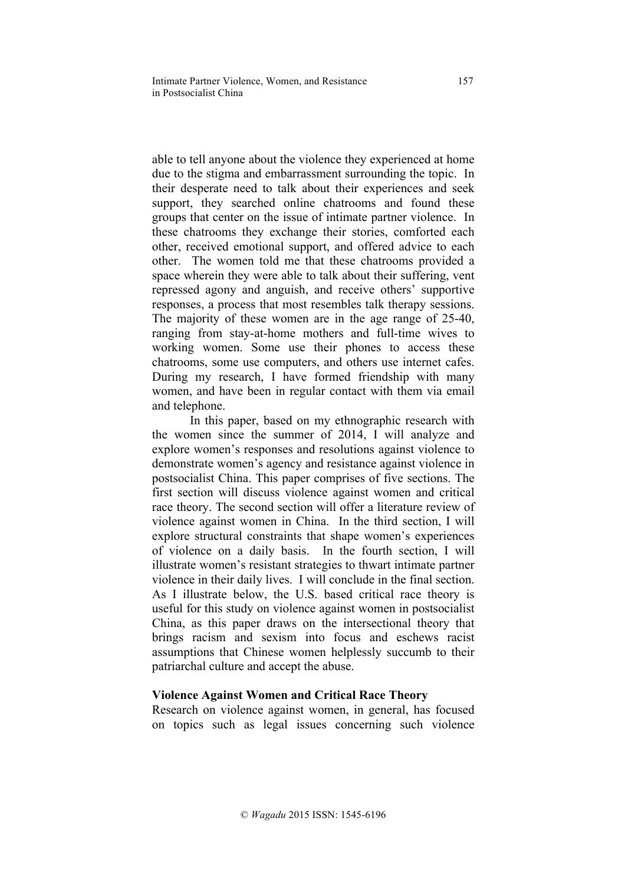able to tell anyone about the violence they experienced at home due to the stigma and embarrassment surrounding the topic. In their desperate need to talk about their experiences and seek support, they searched online chatrooms and found these groups that center on the issue of intimate partner violence. In these chatrooms they exchange their stories, comforted each other, received emotional support, and offered advice to each other. The women told me that these chatrooms provided a space wherein they were able to talk about their suffering, vent repressed agony and anguish, and receive others' supportive responses, a process that most resembles talk therapy sessions. The majority of these women are in the age range of 25-40, ranging from stay-at-home mothers and full-time wives to working women. Some use their phones to access these chatrooms, some use computers, and others use internet cafes. During my research, I have formed friendship with many women, and have been in regular contact with them via email and telephone.

In this paper, based on my ethnographic research with the women since the summer of 2014, I will analyze and explore women's responses and resolutions against violence to demonstrate women's agency and resistance against violence in postsocialist China. This paper comprises of five sections. The first section will discuss violence against women and critical race theory. The second section will offer a literature review of violence against women in China. In the third section, I will explore structural constraints that shape women's experiences of violence on a daily basis. In the fourth section, I will illustrate women's resistant strategies to thwart intimate partner violence in their daily lives. I will conclude in the final section. As I illustrate below, the U.S. based critical race theory is useful for this study on violence against women in postsocialist China, as this paper draws on the intersectional theory that brings racism and sexism into focus and eschews racist assumptions that Chinese women helplessly succumb to their patriarchal culture and accept the abuse.

## **Violence Against Women and Critical Race Theory**

Research on violence against women, in general, has focused on topics such as legal issues concerning such violence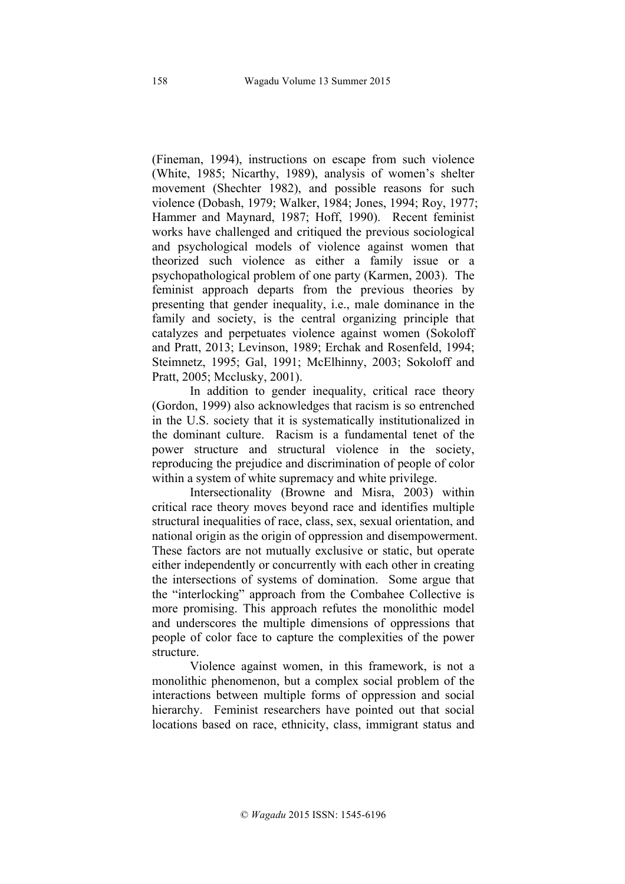(Fineman, 1994), instructions on escape from such violence (White, 1985; Nicarthy, 1989), analysis of women's shelter movement (Shechter 1982), and possible reasons for such violence (Dobash, 1979; Walker, 1984; Jones, 1994; Roy, 1977; Hammer and Maynard, 1987; Hoff, 1990). Recent feminist works have challenged and critiqued the previous sociological and psychological models of violence against women that theorized such violence as either a family issue or a psychopathological problem of one party (Karmen, 2003). The feminist approach departs from the previous theories by presenting that gender inequality, i.e., male dominance in the family and society, is the central organizing principle that catalyzes and perpetuates violence against women (Sokoloff and Pratt, 2013; Levinson, 1989; Erchak and Rosenfeld, 1994; Steimnetz, 1995; Gal, 1991; McElhinny, 2003; Sokoloff and Pratt, 2005; Mcclusky, 2001).

In addition to gender inequality, critical race theory (Gordon, 1999) also acknowledges that racism is so entrenched in the U.S. society that it is systematically institutionalized in the dominant culture. Racism is a fundamental tenet of the power structure and structural violence in the society, reproducing the prejudice and discrimination of people of color within a system of white supremacy and white privilege.

Intersectionality (Browne and Misra, 2003) within critical race theory moves beyond race and identifies multiple structural inequalities of race, class, sex, sexual orientation, and national origin as the origin of oppression and disempowerment. These factors are not mutually exclusive or static, but operate either independently or concurrently with each other in creating the intersections of systems of domination. Some argue that the "interlocking" approach from the Combahee Collective is more promising. This approach refutes the monolithic model and underscores the multiple dimensions of oppressions that people of color face to capture the complexities of the power structure.

Violence against women, in this framework, is not a monolithic phenomenon, but a complex social problem of the interactions between multiple forms of oppression and social hierarchy. Feminist researchers have pointed out that social locations based on race, ethnicity, class, immigrant status and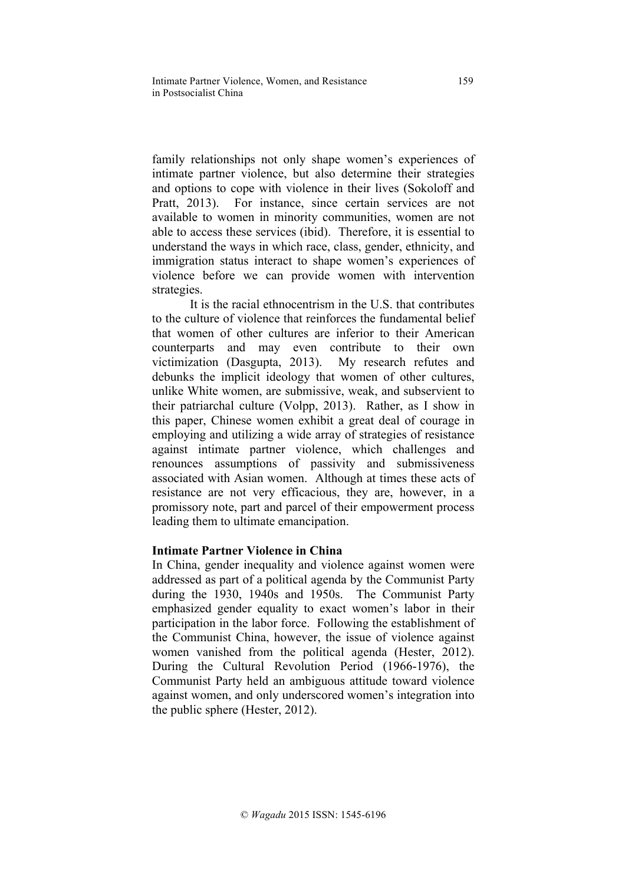family relationships not only shape women's experiences of intimate partner violence, but also determine their strategies and options to cope with violence in their lives (Sokoloff and Pratt, 2013). For instance, since certain services are not available to women in minority communities, women are not able to access these services (ibid). Therefore, it is essential to understand the ways in which race, class, gender, ethnicity, and immigration status interact to shape women's experiences of violence before we can provide women with intervention strategies.

It is the racial ethnocentrism in the U.S. that contributes to the culture of violence that reinforces the fundamental belief that women of other cultures are inferior to their American counterparts and may even contribute to their own victimization (Dasgupta, 2013). My research refutes and debunks the implicit ideology that women of other cultures, unlike White women, are submissive, weak, and subservient to their patriarchal culture (Volpp, 2013). Rather, as I show in this paper, Chinese women exhibit a great deal of courage in employing and utilizing a wide array of strategies of resistance against intimate partner violence, which challenges and renounces assumptions of passivity and submissiveness associated with Asian women. Although at times these acts of resistance are not very efficacious, they are, however, in a promissory note, part and parcel of their empowerment process leading them to ultimate emancipation.

# **Intimate Partner Violence in China**

In China, gender inequality and violence against women were addressed as part of a political agenda by the Communist Party during the 1930, 1940s and 1950s. The Communist Party emphasized gender equality to exact women's labor in their participation in the labor force. Following the establishment of the Communist China, however, the issue of violence against women vanished from the political agenda (Hester, 2012). During the Cultural Revolution Period (1966-1976), the Communist Party held an ambiguous attitude toward violence against women, and only underscored women's integration into the public sphere (Hester, 2012).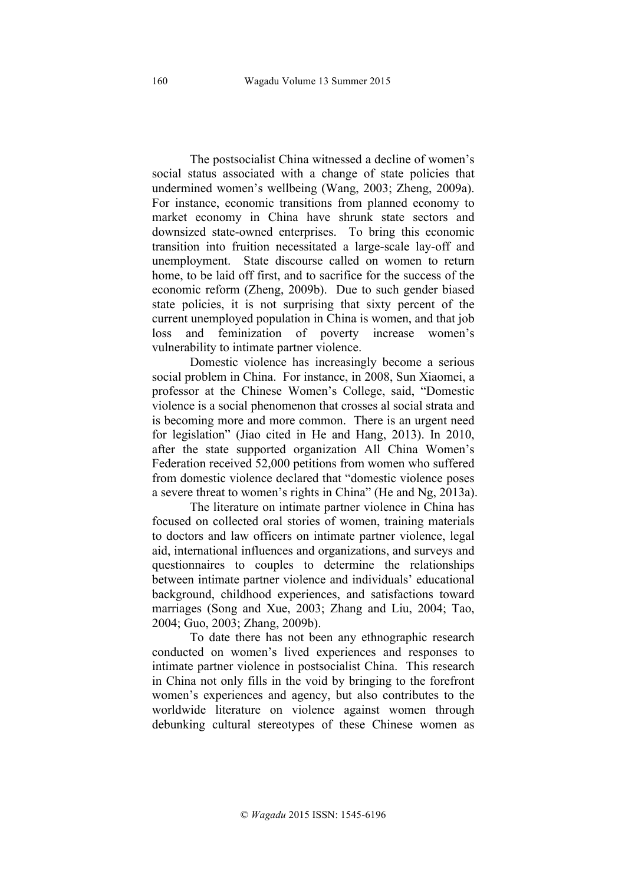The postsocialist China witnessed a decline of women's social status associated with a change of state policies that undermined women's wellbeing (Wang, 2003; Zheng, 2009a). For instance, economic transitions from planned economy to market economy in China have shrunk state sectors and downsized state-owned enterprises. To bring this economic transition into fruition necessitated a large-scale lay-off and unemployment. State discourse called on women to return home, to be laid off first, and to sacrifice for the success of the economic reform (Zheng, 2009b). Due to such gender biased state policies, it is not surprising that sixty percent of the current unemployed population in China is women, and that job loss and feminization of poverty increase women's vulnerability to intimate partner violence.

Domestic violence has increasingly become a serious social problem in China. For instance, in 2008, Sun Xiaomei, a professor at the Chinese Women's College, said, "Domestic violence is a social phenomenon that crosses al social strata and is becoming more and more common. There is an urgent need for legislation" (Jiao cited in He and Hang, 2013). In 2010, after the state supported organization All China Women's Federation received 52,000 petitions from women who suffered from domestic violence declared that "domestic violence poses a severe threat to women's rights in China" (He and Ng, 2013a).

The literature on intimate partner violence in China has focused on collected oral stories of women, training materials to doctors and law officers on intimate partner violence, legal aid, international influences and organizations, and surveys and questionnaires to couples to determine the relationships between intimate partner violence and individuals' educational background, childhood experiences, and satisfactions toward marriages (Song and Xue, 2003; Zhang and Liu, 2004; Tao, 2004; Guo, 2003; Zhang, 2009b).

To date there has not been any ethnographic research conducted on women's lived experiences and responses to intimate partner violence in postsocialist China. This research in China not only fills in the void by bringing to the forefront women's experiences and agency, but also contributes to the worldwide literature on violence against women through debunking cultural stereotypes of these Chinese women as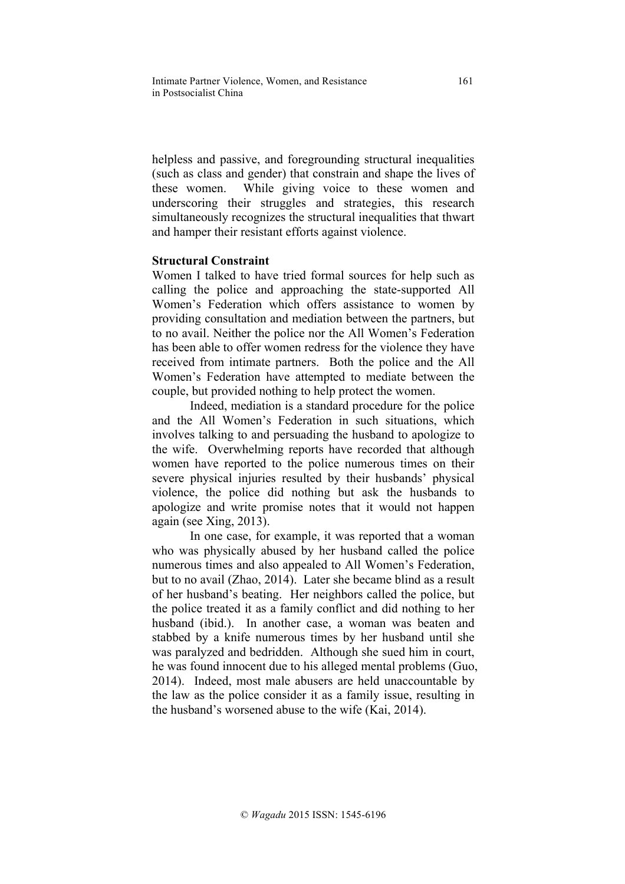helpless and passive, and foregrounding structural inequalities (such as class and gender) that constrain and shape the lives of these women. While giving voice to these women and underscoring their struggles and strategies, this research simultaneously recognizes the structural inequalities that thwart and hamper their resistant efforts against violence.

# **Structural Constraint**

Women I talked to have tried formal sources for help such as calling the police and approaching the state-supported All Women's Federation which offers assistance to women by providing consultation and mediation between the partners, but to no avail. Neither the police nor the All Women's Federation has been able to offer women redress for the violence they have received from intimate partners. Both the police and the All Women's Federation have attempted to mediate between the couple, but provided nothing to help protect the women.

Indeed, mediation is a standard procedure for the police and the All Women's Federation in such situations, which involves talking to and persuading the husband to apologize to the wife. Overwhelming reports have recorded that although women have reported to the police numerous times on their severe physical injuries resulted by their husbands' physical violence, the police did nothing but ask the husbands to apologize and write promise notes that it would not happen again (see Xing, 2013).

In one case, for example, it was reported that a woman who was physically abused by her husband called the police numerous times and also appealed to All Women's Federation, but to no avail (Zhao, 2014). Later she became blind as a result of her husband's beating. Her neighbors called the police, but the police treated it as a family conflict and did nothing to her husband (ibid.). In another case, a woman was beaten and stabbed by a knife numerous times by her husband until she was paralyzed and bedridden. Although she sued him in court, he was found innocent due to his alleged mental problems (Guo, 2014). Indeed, most male abusers are held unaccountable by the law as the police consider it as a family issue, resulting in the husband's worsened abuse to the wife (Kai, 2014).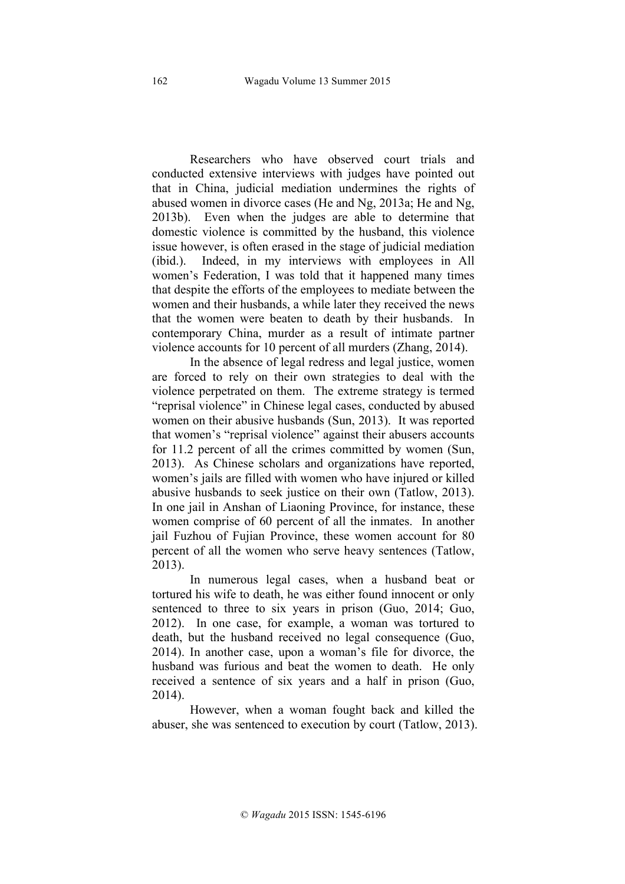Researchers who have observed court trials and conducted extensive interviews with judges have pointed out that in China, judicial mediation undermines the rights of abused women in divorce cases (He and Ng, 2013a; He and Ng, 2013b). Even when the judges are able to determine that domestic violence is committed by the husband, this violence issue however, is often erased in the stage of judicial mediation (ibid.). Indeed, in my interviews with employees in All women's Federation, I was told that it happened many times that despite the efforts of the employees to mediate between the women and their husbands, a while later they received the news that the women were beaten to death by their husbands. In contemporary China, murder as a result of intimate partner violence accounts for 10 percent of all murders (Zhang, 2014).

In the absence of legal redress and legal justice, women are forced to rely on their own strategies to deal with the violence perpetrated on them. The extreme strategy is termed "reprisal violence" in Chinese legal cases, conducted by abused women on their abusive husbands (Sun, 2013). It was reported that women's "reprisal violence" against their abusers accounts for 11.2 percent of all the crimes committed by women (Sun, 2013). As Chinese scholars and organizations have reported, women's jails are filled with women who have injured or killed abusive husbands to seek justice on their own (Tatlow, 2013). In one jail in Anshan of Liaoning Province, for instance, these women comprise of 60 percent of all the inmates. In another jail Fuzhou of Fujian Province, these women account for 80 percent of all the women who serve heavy sentences (Tatlow, 2013).

In numerous legal cases, when a husband beat or tortured his wife to death, he was either found innocent or only sentenced to three to six years in prison (Guo, 2014; Guo, 2012). In one case, for example, a woman was tortured to death, but the husband received no legal consequence (Guo, 2014). In another case, upon a woman's file for divorce, the husband was furious and beat the women to death. He only received a sentence of six years and a half in prison (Guo, 2014).

However, when a woman fought back and killed the abuser, she was sentenced to execution by court (Tatlow, 2013).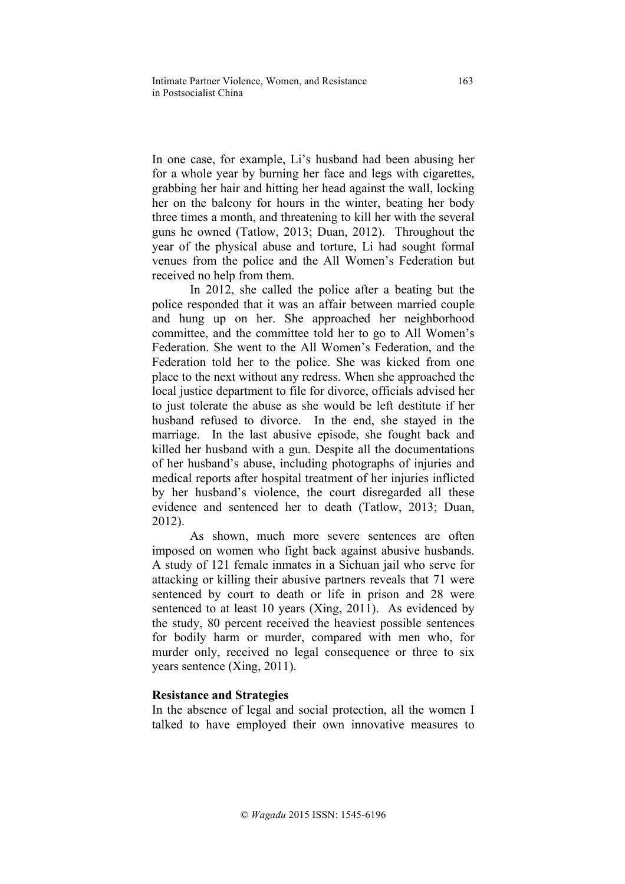In one case, for example, Li's husband had been abusing her for a whole year by burning her face and legs with cigarettes, grabbing her hair and hitting her head against the wall, locking her on the balcony for hours in the winter, beating her body three times a month, and threatening to kill her with the several guns he owned (Tatlow, 2013; Duan, 2012). Throughout the year of the physical abuse and torture, Li had sought formal venues from the police and the All Women's Federation but received no help from them.

In 2012, she called the police after a beating but the police responded that it was an affair between married couple and hung up on her. She approached her neighborhood committee, and the committee told her to go to All Women's Federation. She went to the All Women's Federation, and the Federation told her to the police. She was kicked from one place to the next without any redress. When she approached the local justice department to file for divorce, officials advised her to just tolerate the abuse as she would be left destitute if her husband refused to divorce. In the end, she stayed in the marriage. In the last abusive episode, she fought back and killed her husband with a gun. Despite all the documentations of her husband's abuse, including photographs of injuries and medical reports after hospital treatment of her injuries inflicted by her husband's violence, the court disregarded all these evidence and sentenced her to death (Tatlow, 2013; Duan, 2012).

As shown, much more severe sentences are often imposed on women who fight back against abusive husbands. A study of 121 female inmates in a Sichuan jail who serve for attacking or killing their abusive partners reveals that 71 were sentenced by court to death or life in prison and 28 were sentenced to at least 10 years (Xing, 2011). As evidenced by the study, 80 percent received the heaviest possible sentences for bodily harm or murder, compared with men who, for murder only, received no legal consequence or three to six years sentence (Xing, 2011).

# **Resistance and Strategies**

In the absence of legal and social protection, all the women I talked to have employed their own innovative measures to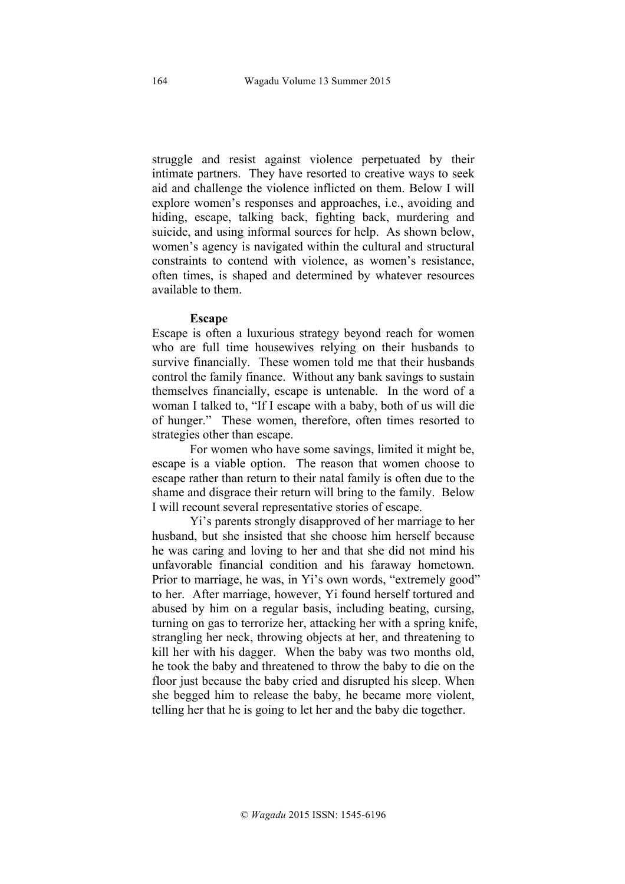struggle and resist against violence perpetuated by their intimate partners. They have resorted to creative ways to seek aid and challenge the violence inflicted on them. Below I will explore women's responses and approaches, i.e., avoiding and hiding, escape, talking back, fighting back, murdering and suicide, and using informal sources for help. As shown below, women's agency is navigated within the cultural and structural constraints to contend with violence, as women's resistance, often times, is shaped and determined by whatever resources available to them.

#### **Escape**

Escape is often a luxurious strategy beyond reach for women who are full time housewives relying on their husbands to survive financially. These women told me that their husbands control the family finance. Without any bank savings to sustain themselves financially, escape is untenable. In the word of a woman I talked to, "If I escape with a baby, both of us will die of hunger." These women, therefore, often times resorted to strategies other than escape.

For women who have some savings, limited it might be, escape is a viable option. The reason that women choose to escape rather than return to their natal family is often due to the shame and disgrace their return will bring to the family. Below I will recount several representative stories of escape.

Yi's parents strongly disapproved of her marriage to her husband, but she insisted that she choose him herself because he was caring and loving to her and that she did not mind his unfavorable financial condition and his faraway hometown. Prior to marriage, he was, in Yi's own words, "extremely good" to her. After marriage, however, Yi found herself tortured and abused by him on a regular basis, including beating, cursing, turning on gas to terrorize her, attacking her with a spring knife, strangling her neck, throwing objects at her, and threatening to kill her with his dagger. When the baby was two months old, he took the baby and threatened to throw the baby to die on the floor just because the baby cried and disrupted his sleep. When she begged him to release the baby, he became more violent, telling her that he is going to let her and the baby die together.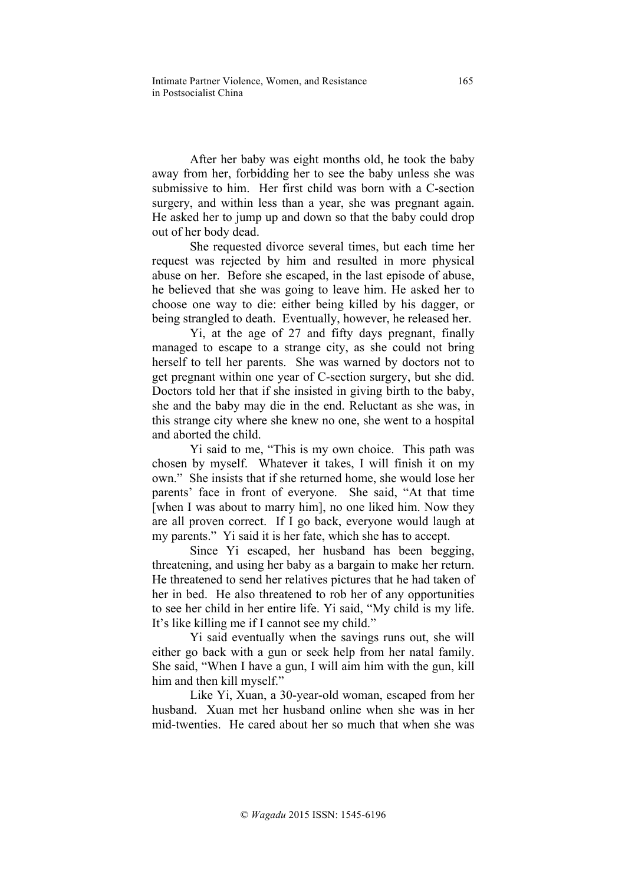After her baby was eight months old, he took the baby away from her, forbidding her to see the baby unless she was submissive to him. Her first child was born with a C-section surgery, and within less than a year, she was pregnant again. He asked her to jump up and down so that the baby could drop out of her body dead.

She requested divorce several times, but each time her request was rejected by him and resulted in more physical abuse on her. Before she escaped, in the last episode of abuse, he believed that she was going to leave him. He asked her to choose one way to die: either being killed by his dagger, or being strangled to death. Eventually, however, he released her.

Yi, at the age of 27 and fifty days pregnant, finally managed to escape to a strange city, as she could not bring herself to tell her parents. She was warned by doctors not to get pregnant within one year of C-section surgery, but she did. Doctors told her that if she insisted in giving birth to the baby, she and the baby may die in the end. Reluctant as she was, in this strange city where she knew no one, she went to a hospital and aborted the child.

Yi said to me, "This is my own choice. This path was chosen by myself. Whatever it takes, I will finish it on my own." She insists that if she returned home, she would lose her parents' face in front of everyone. She said, "At that time [when I was about to marry him], no one liked him. Now they are all proven correct. If I go back, everyone would laugh at my parents." Yi said it is her fate, which she has to accept.

Since Yi escaped, her husband has been begging, threatening, and using her baby as a bargain to make her return. He threatened to send her relatives pictures that he had taken of her in bed. He also threatened to rob her of any opportunities to see her child in her entire life. Yi said, "My child is my life. It's like killing me if I cannot see my child."

Yi said eventually when the savings runs out, she will either go back with a gun or seek help from her natal family. She said, "When I have a gun, I will aim him with the gun, kill him and then kill myself."

Like Yi, Xuan, a 30-year-old woman, escaped from her husband. Xuan met her husband online when she was in her mid-twenties. He cared about her so much that when she was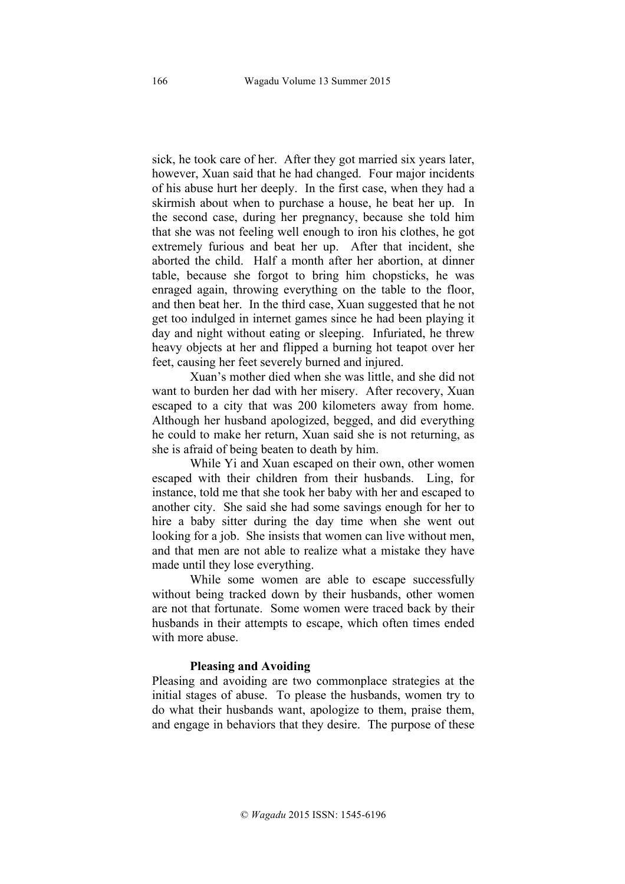sick, he took care of her. After they got married six years later, however, Xuan said that he had changed. Four major incidents of his abuse hurt her deeply. In the first case, when they had a skirmish about when to purchase a house, he beat her up. In the second case, during her pregnancy, because she told him that she was not feeling well enough to iron his clothes, he got extremely furious and beat her up. After that incident, she aborted the child. Half a month after her abortion, at dinner table, because she forgot to bring him chopsticks, he was enraged again, throwing everything on the table to the floor, and then beat her. In the third case, Xuan suggested that he not get too indulged in internet games since he had been playing it day and night without eating or sleeping. Infuriated, he threw heavy objects at her and flipped a burning hot teapot over her feet, causing her feet severely burned and injured.

Xuan's mother died when she was little, and she did not want to burden her dad with her misery. After recovery, Xuan escaped to a city that was 200 kilometers away from home. Although her husband apologized, begged, and did everything he could to make her return, Xuan said she is not returning, as she is afraid of being beaten to death by him.

While Yi and Xuan escaped on their own, other women escaped with their children from their husbands. Ling, for instance, told me that she took her baby with her and escaped to another city. She said she had some savings enough for her to hire a baby sitter during the day time when she went out looking for a job. She insists that women can live without men. and that men are not able to realize what a mistake they have made until they lose everything.

While some women are able to escape successfully without being tracked down by their husbands, other women are not that fortunate. Some women were traced back by their husbands in their attempts to escape, which often times ended with more abuse.

#### **Pleasing and Avoiding**

Pleasing and avoiding are two commonplace strategies at the initial stages of abuse. To please the husbands, women try to do what their husbands want, apologize to them, praise them, and engage in behaviors that they desire. The purpose of these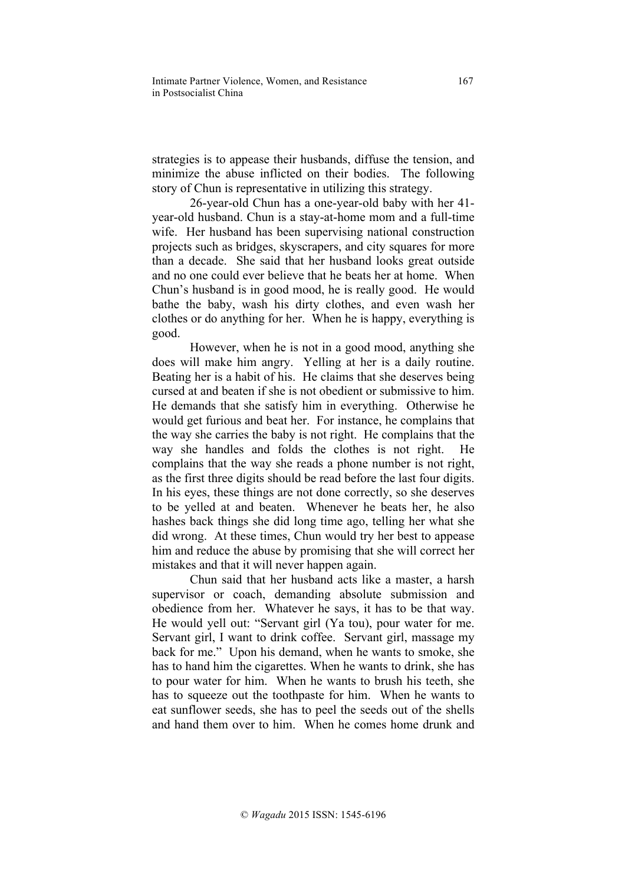strategies is to appease their husbands, diffuse the tension, and minimize the abuse inflicted on their bodies. The following story of Chun is representative in utilizing this strategy.

26-year-old Chun has a one-year-old baby with her 41 year-old husband. Chun is a stay-at-home mom and a full-time wife. Her husband has been supervising national construction projects such as bridges, skyscrapers, and city squares for more than a decade. She said that her husband looks great outside and no one could ever believe that he beats her at home. When Chun's husband is in good mood, he is really good. He would bathe the baby, wash his dirty clothes, and even wash her clothes or do anything for her. When he is happy, everything is good.

However, when he is not in a good mood, anything she does will make him angry. Yelling at her is a daily routine. Beating her is a habit of his. He claims that she deserves being cursed at and beaten if she is not obedient or submissive to him. He demands that she satisfy him in everything. Otherwise he would get furious and beat her. For instance, he complains that the way she carries the baby is not right. He complains that the way she handles and folds the clothes is not right. He complains that the way she reads a phone number is not right, as the first three digits should be read before the last four digits. In his eyes, these things are not done correctly, so she deserves to be yelled at and beaten. Whenever he beats her, he also hashes back things she did long time ago, telling her what she did wrong. At these times, Chun would try her best to appease him and reduce the abuse by promising that she will correct her mistakes and that it will never happen again.

Chun said that her husband acts like a master, a harsh supervisor or coach, demanding absolute submission and obedience from her. Whatever he says, it has to be that way. He would yell out: "Servant girl (Ya tou), pour water for me. Servant girl, I want to drink coffee. Servant girl, massage my back for me." Upon his demand, when he wants to smoke, she has to hand him the cigarettes. When he wants to drink, she has to pour water for him. When he wants to brush his teeth, she has to squeeze out the toothpaste for him. When he wants to eat sunflower seeds, she has to peel the seeds out of the shells and hand them over to him. When he comes home drunk and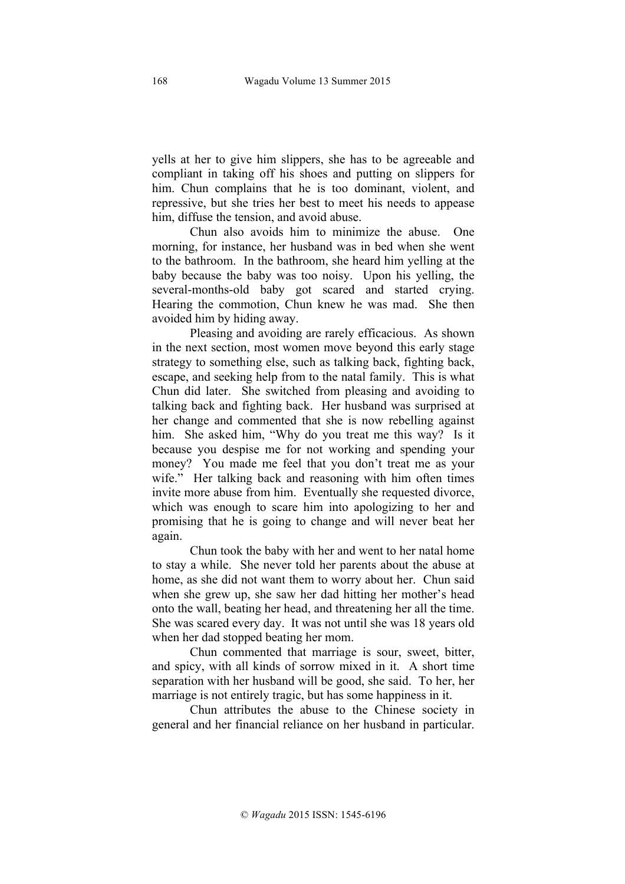yells at her to give him slippers, she has to be agreeable and compliant in taking off his shoes and putting on slippers for him. Chun complains that he is too dominant, violent, and repressive, but she tries her best to meet his needs to appease him, diffuse the tension, and avoid abuse.

Chun also avoids him to minimize the abuse. One morning, for instance, her husband was in bed when she went to the bathroom. In the bathroom, she heard him yelling at the baby because the baby was too noisy. Upon his yelling, the several-months-old baby got scared and started crying. Hearing the commotion, Chun knew he was mad. She then avoided him by hiding away.

Pleasing and avoiding are rarely efficacious. As shown in the next section, most women move beyond this early stage strategy to something else, such as talking back, fighting back, escape, and seeking help from to the natal family. This is what Chun did later. She switched from pleasing and avoiding to talking back and fighting back. Her husband was surprised at her change and commented that she is now rebelling against him. She asked him, "Why do you treat me this way? Is it because you despise me for not working and spending your money? You made me feel that you don't treat me as your wife." Her talking back and reasoning with him often times invite more abuse from him. Eventually she requested divorce, which was enough to scare him into apologizing to her and promising that he is going to change and will never beat her again.

Chun took the baby with her and went to her natal home to stay a while. She never told her parents about the abuse at home, as she did not want them to worry about her. Chun said when she grew up, she saw her dad hitting her mother's head onto the wall, beating her head, and threatening her all the time. She was scared every day. It was not until she was 18 years old when her dad stopped beating her mom.

Chun commented that marriage is sour, sweet, bitter, and spicy, with all kinds of sorrow mixed in it. A short time separation with her husband will be good, she said. To her, her marriage is not entirely tragic, but has some happiness in it.

Chun attributes the abuse to the Chinese society in general and her financial reliance on her husband in particular.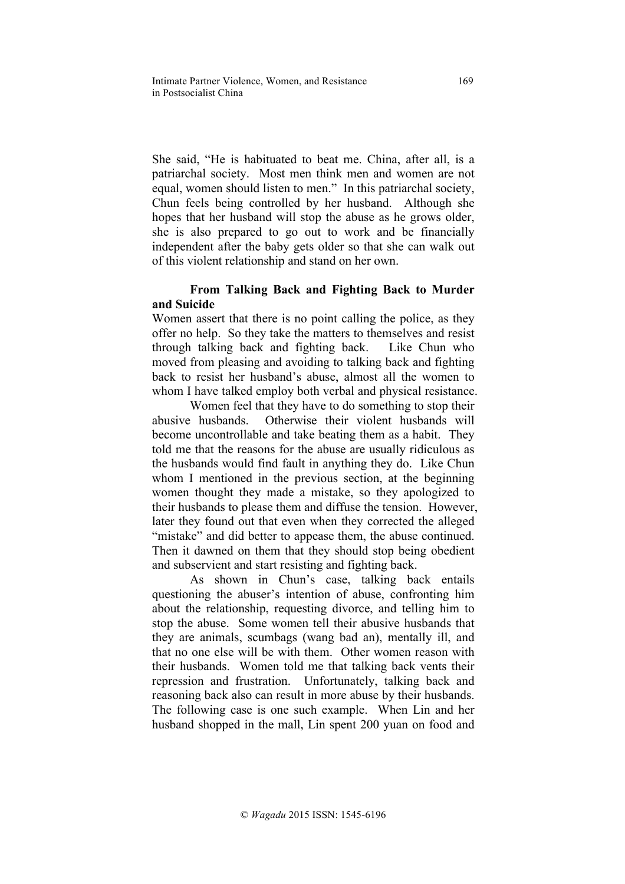She said, "He is habituated to beat me. China, after all, is a patriarchal society. Most men think men and women are not equal, women should listen to men." In this patriarchal society, Chun feels being controlled by her husband. Although she hopes that her husband will stop the abuse as he grows older, she is also prepared to go out to work and be financially independent after the baby gets older so that she can walk out of this violent relationship and stand on her own.

# **From Talking Back and Fighting Back to Murder and Suicide**

Women assert that there is no point calling the police, as they offer no help. So they take the matters to themselves and resist through talking back and fighting back. Like Chun who moved from pleasing and avoiding to talking back and fighting back to resist her husband's abuse, almost all the women to whom I have talked employ both verbal and physical resistance.

Women feel that they have to do something to stop their abusive husbands. Otherwise their violent husbands will become uncontrollable and take beating them as a habit. They told me that the reasons for the abuse are usually ridiculous as the husbands would find fault in anything they do. Like Chun whom I mentioned in the previous section, at the beginning women thought they made a mistake, so they apologized to their husbands to please them and diffuse the tension. However, later they found out that even when they corrected the alleged "mistake" and did better to appease them, the abuse continued. Then it dawned on them that they should stop being obedient and subservient and start resisting and fighting back.

As shown in Chun's case, talking back entails questioning the abuser's intention of abuse, confronting him about the relationship, requesting divorce, and telling him to stop the abuse. Some women tell their abusive husbands that they are animals, scumbags (wang bad an), mentally ill, and that no one else will be with them. Other women reason with their husbands. Women told me that talking back vents their repression and frustration. Unfortunately, talking back and reasoning back also can result in more abuse by their husbands. The following case is one such example. When Lin and her husband shopped in the mall, Lin spent 200 yuan on food and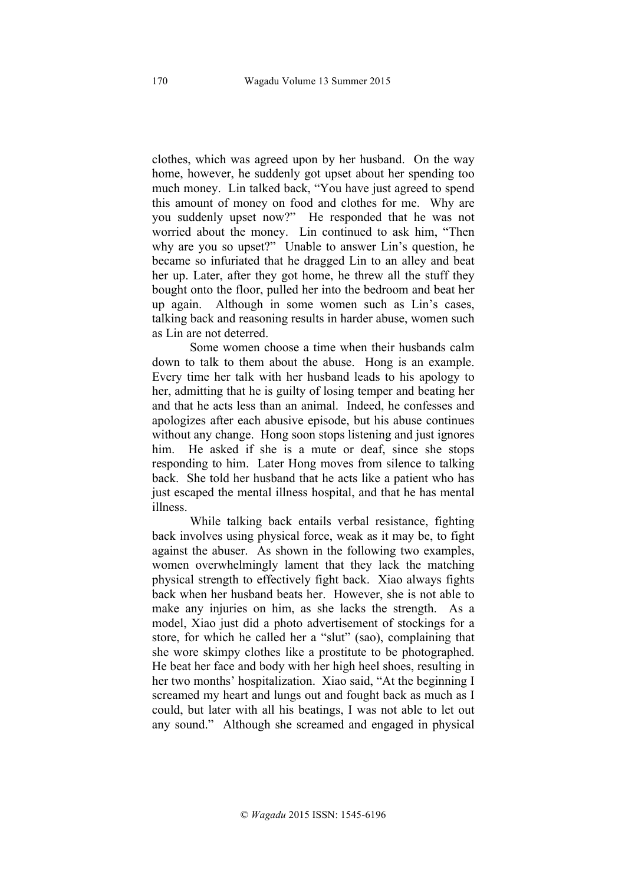clothes, which was agreed upon by her husband. On the way home, however, he suddenly got upset about her spending too much money. Lin talked back, "You have just agreed to spend this amount of money on food and clothes for me. Why are you suddenly upset now?" He responded that he was not worried about the money. Lin continued to ask him, "Then why are you so upset?" Unable to answer Lin's question, he became so infuriated that he dragged Lin to an alley and beat her up. Later, after they got home, he threw all the stuff they bought onto the floor, pulled her into the bedroom and beat her up again. Although in some women such as Lin's cases, talking back and reasoning results in harder abuse, women such as Lin are not deterred.

Some women choose a time when their husbands calm down to talk to them about the abuse. Hong is an example. Every time her talk with her husband leads to his apology to her, admitting that he is guilty of losing temper and beating her and that he acts less than an animal. Indeed, he confesses and apologizes after each abusive episode, but his abuse continues without any change. Hong soon stops listening and just ignores him. He asked if she is a mute or deaf, since she stops responding to him. Later Hong moves from silence to talking back. She told her husband that he acts like a patient who has just escaped the mental illness hospital, and that he has mental illness.

While talking back entails verbal resistance, fighting back involves using physical force, weak as it may be, to fight against the abuser. As shown in the following two examples, women overwhelmingly lament that they lack the matching physical strength to effectively fight back. Xiao always fights back when her husband beats her. However, she is not able to make any injuries on him, as she lacks the strength. As a model, Xiao just did a photo advertisement of stockings for a store, for which he called her a "slut" (sao), complaining that she wore skimpy clothes like a prostitute to be photographed. He beat her face and body with her high heel shoes, resulting in her two months' hospitalization. Xiao said, "At the beginning I screamed my heart and lungs out and fought back as much as I could, but later with all his beatings, I was not able to let out any sound." Although she screamed and engaged in physical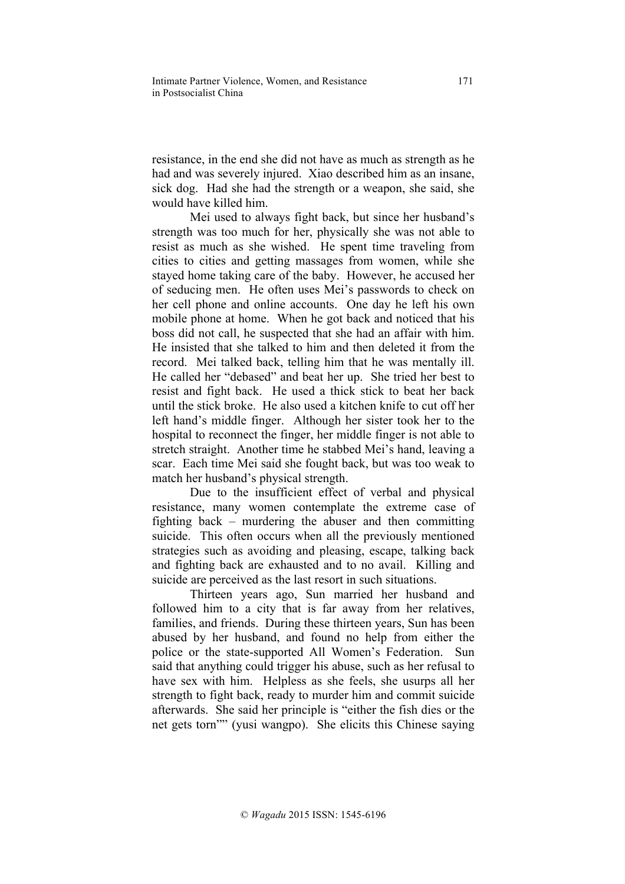resistance, in the end she did not have as much as strength as he had and was severely injured. Xiao described him as an insane, sick dog. Had she had the strength or a weapon, she said, she would have killed him.

Mei used to always fight back, but since her husband's strength was too much for her, physically she was not able to resist as much as she wished. He spent time traveling from cities to cities and getting massages from women, while she stayed home taking care of the baby. However, he accused her of seducing men. He often uses Mei's passwords to check on her cell phone and online accounts. One day he left his own mobile phone at home. When he got back and noticed that his boss did not call, he suspected that she had an affair with him. He insisted that she talked to him and then deleted it from the record. Mei talked back, telling him that he was mentally ill. He called her "debased" and beat her up. She tried her best to resist and fight back. He used a thick stick to beat her back until the stick broke. He also used a kitchen knife to cut off her left hand's middle finger. Although her sister took her to the hospital to reconnect the finger, her middle finger is not able to stretch straight. Another time he stabbed Mei's hand, leaving a scar. Each time Mei said she fought back, but was too weak to match her husband's physical strength.

Due to the insufficient effect of verbal and physical resistance, many women contemplate the extreme case of fighting back – murdering the abuser and then committing suicide. This often occurs when all the previously mentioned strategies such as avoiding and pleasing, escape, talking back and fighting back are exhausted and to no avail. Killing and suicide are perceived as the last resort in such situations.

Thirteen years ago, Sun married her husband and followed him to a city that is far away from her relatives, families, and friends. During these thirteen years, Sun has been abused by her husband, and found no help from either the police or the state-supported All Women's Federation. Sun said that anything could trigger his abuse, such as her refusal to have sex with him. Helpless as she feels, she usurps all her strength to fight back, ready to murder him and commit suicide afterwards. She said her principle is "either the fish dies or the net gets torn"" (yusi wangpo). She elicits this Chinese saying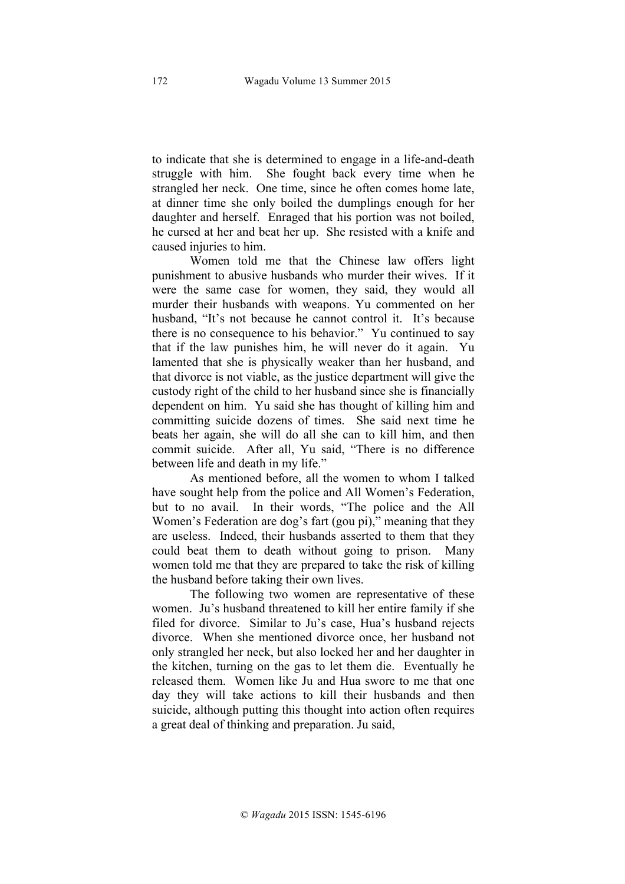to indicate that she is determined to engage in a life-and-death struggle with him. She fought back every time when he strangled her neck. One time, since he often comes home late, at dinner time she only boiled the dumplings enough for her daughter and herself. Enraged that his portion was not boiled, he cursed at her and beat her up. She resisted with a knife and caused injuries to him.

Women told me that the Chinese law offers light punishment to abusive husbands who murder their wives. If it were the same case for women, they said, they would all murder their husbands with weapons. Yu commented on her husband, "It's not because he cannot control it. It's because there is no consequence to his behavior." Yu continued to say that if the law punishes him, he will never do it again. Yu lamented that she is physically weaker than her husband, and that divorce is not viable, as the justice department will give the custody right of the child to her husband since she is financially dependent on him. Yu said she has thought of killing him and committing suicide dozens of times. She said next time he beats her again, she will do all she can to kill him, and then commit suicide. After all, Yu said, "There is no difference between life and death in my life."

As mentioned before, all the women to whom I talked have sought help from the police and All Women's Federation, but to no avail. In their words, "The police and the All Women's Federation are dog's fart (gou pi)," meaning that they are useless. Indeed, their husbands asserted to them that they could beat them to death without going to prison. Many women told me that they are prepared to take the risk of killing the husband before taking their own lives.

The following two women are representative of these women. Ju's husband threatened to kill her entire family if she filed for divorce. Similar to Ju's case, Hua's husband rejects divorce. When she mentioned divorce once, her husband not only strangled her neck, but also locked her and her daughter in the kitchen, turning on the gas to let them die. Eventually he released them. Women like Ju and Hua swore to me that one day they will take actions to kill their husbands and then suicide, although putting this thought into action often requires a great deal of thinking and preparation. Ju said,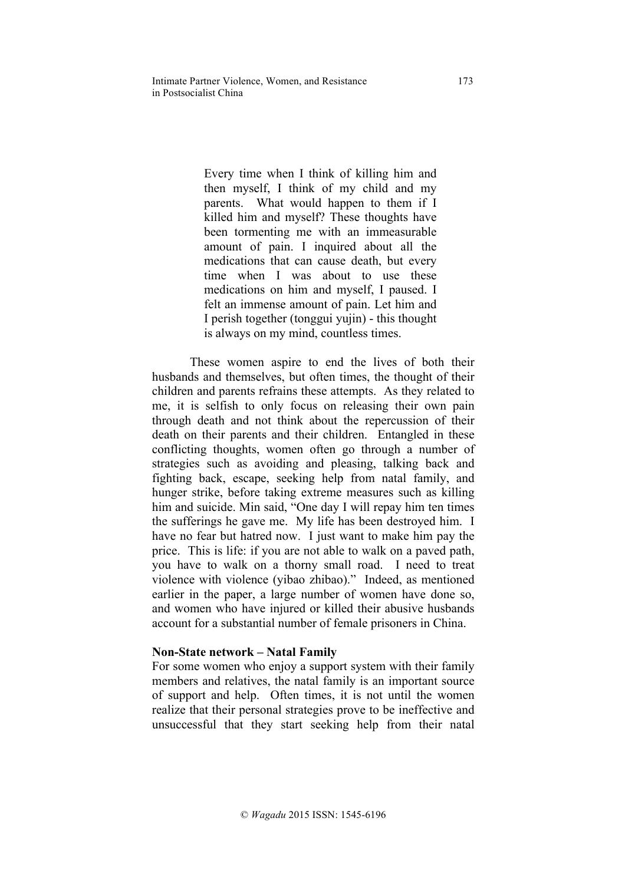Intimate Partner Violence, Women, and Resistance 173 in Postsocialist China

> Every time when I think of killing him and then myself, I think of my child and my parents. What would happen to them if I killed him and myself? These thoughts have been tormenting me with an immeasurable amount of pain. I inquired about all the medications that can cause death, but every time when I was about to use these medications on him and myself, I paused. I felt an immense amount of pain. Let him and I perish together (tonggui yujin) - this thought is always on my mind, countless times.

These women aspire to end the lives of both their husbands and themselves, but often times, the thought of their children and parents refrains these attempts. As they related to me, it is selfish to only focus on releasing their own pain through death and not think about the repercussion of their death on their parents and their children. Entangled in these conflicting thoughts, women often go through a number of strategies such as avoiding and pleasing, talking back and fighting back, escape, seeking help from natal family, and hunger strike, before taking extreme measures such as killing him and suicide. Min said, "One day I will repay him ten times the sufferings he gave me. My life has been destroyed him. I have no fear but hatred now. I just want to make him pay the price. This is life: if you are not able to walk on a paved path, you have to walk on a thorny small road. I need to treat violence with violence (yibao zhibao)." Indeed, as mentioned earlier in the paper, a large number of women have done so, and women who have injured or killed their abusive husbands account for a substantial number of female prisoners in China.

#### **Non-State network – Natal Family**

For some women who enjoy a support system with their family members and relatives, the natal family is an important source of support and help. Often times, it is not until the women realize that their personal strategies prove to be ineffective and unsuccessful that they start seeking help from their natal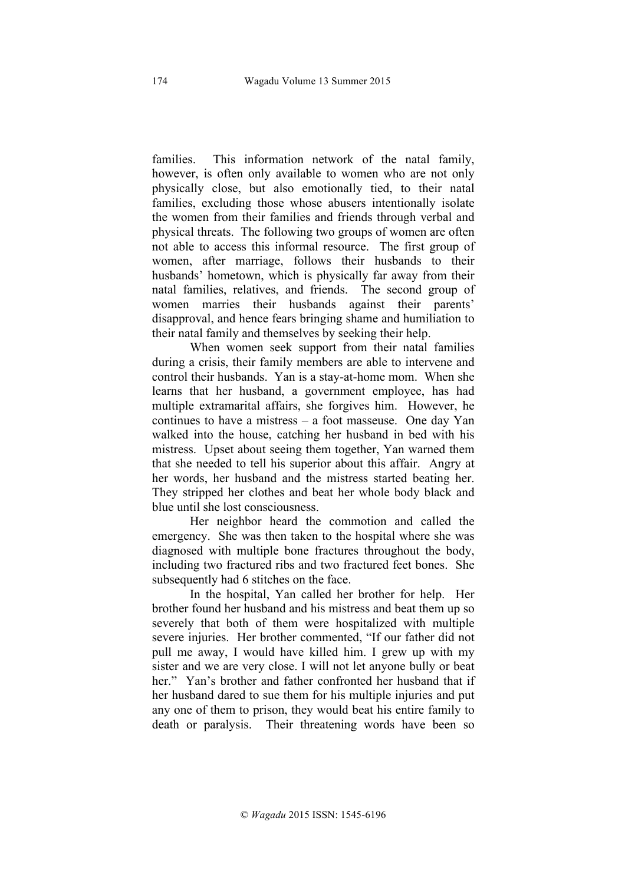families. This information network of the natal family, however, is often only available to women who are not only physically close, but also emotionally tied, to their natal families, excluding those whose abusers intentionally isolate the women from their families and friends through verbal and physical threats. The following two groups of women are often not able to access this informal resource. The first group of women, after marriage, follows their husbands to their husbands' hometown, which is physically far away from their natal families, relatives, and friends. The second group of women marries their husbands against their parents' disapproval, and hence fears bringing shame and humiliation to their natal family and themselves by seeking their help.

When women seek support from their natal families during a crisis, their family members are able to intervene and control their husbands. Yan is a stay-at-home mom. When she learns that her husband, a government employee, has had multiple extramarital affairs, she forgives him. However, he continues to have a mistress – a foot masseuse. One day Yan walked into the house, catching her husband in bed with his mistress. Upset about seeing them together, Yan warned them that she needed to tell his superior about this affair. Angry at her words, her husband and the mistress started beating her. They stripped her clothes and beat her whole body black and blue until she lost consciousness.

Her neighbor heard the commotion and called the emergency. She was then taken to the hospital where she was diagnosed with multiple bone fractures throughout the body, including two fractured ribs and two fractured feet bones. She subsequently had 6 stitches on the face.

In the hospital, Yan called her brother for help. Her brother found her husband and his mistress and beat them up so severely that both of them were hospitalized with multiple severe injuries. Her brother commented, "If our father did not pull me away, I would have killed him. I grew up with my sister and we are very close. I will not let anyone bully or beat her." Yan's brother and father confronted her husband that if her husband dared to sue them for his multiple injuries and put any one of them to prison, they would beat his entire family to death or paralysis. Their threatening words have been so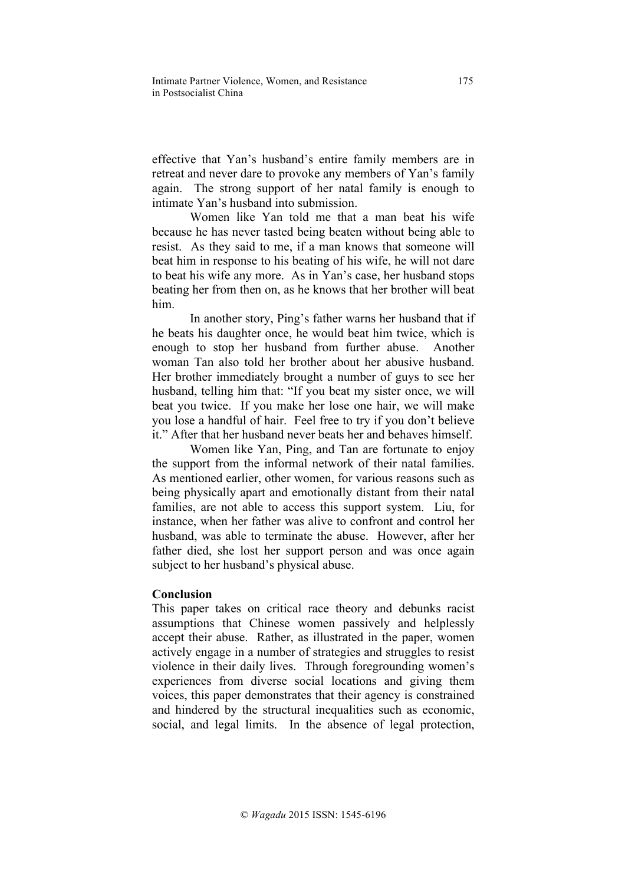effective that Yan's husband's entire family members are in retreat and never dare to provoke any members of Yan's family again. The strong support of her natal family is enough to intimate Yan's husband into submission.

Women like Yan told me that a man beat his wife because he has never tasted being beaten without being able to resist. As they said to me, if a man knows that someone will beat him in response to his beating of his wife, he will not dare to beat his wife any more. As in Yan's case, her husband stops beating her from then on, as he knows that her brother will beat him.

In another story, Ping's father warns her husband that if he beats his daughter once, he would beat him twice, which is enough to stop her husband from further abuse. Another woman Tan also told her brother about her abusive husband. Her brother immediately brought a number of guys to see her husband, telling him that: "If you beat my sister once, we will beat you twice. If you make her lose one hair, we will make you lose a handful of hair. Feel free to try if you don't believe it." After that her husband never beats her and behaves himself.

Women like Yan, Ping, and Tan are fortunate to enjoy the support from the informal network of their natal families. As mentioned earlier, other women, for various reasons such as being physically apart and emotionally distant from their natal families, are not able to access this support system. Liu, for instance, when her father was alive to confront and control her husband, was able to terminate the abuse. However, after her father died, she lost her support person and was once again subject to her husband's physical abuse.

## **Conclusion**

This paper takes on critical race theory and debunks racist assumptions that Chinese women passively and helplessly accept their abuse. Rather, as illustrated in the paper, women actively engage in a number of strategies and struggles to resist violence in their daily lives. Through foregrounding women's experiences from diverse social locations and giving them voices, this paper demonstrates that their agency is constrained and hindered by the structural inequalities such as economic, social, and legal limits. In the absence of legal protection,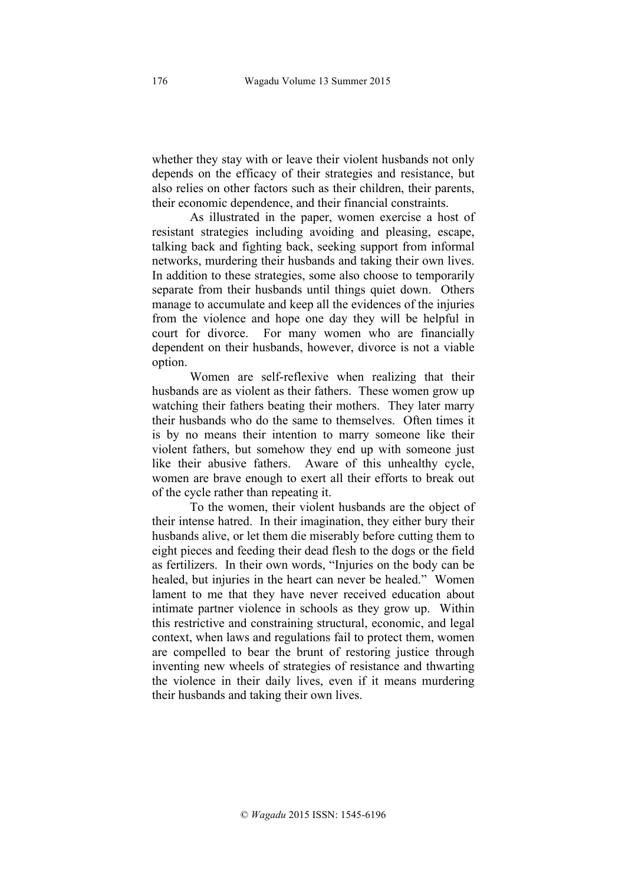whether they stay with or leave their violent husbands not only depends on the efficacy of their strategies and resistance, but also relies on other factors such as their children, their parents, their economic dependence, and their financial constraints.

As illustrated in the paper, women exercise a host of resistant strategies including avoiding and pleasing, escape, talking back and fighting back, seeking support from informal networks, murdering their husbands and taking their own lives. In addition to these strategies, some also choose to temporarily separate from their husbands until things quiet down. Others manage to accumulate and keep all the evidences of the injuries from the violence and hope one day they will be helpful in court for divorce. For many women who are financially dependent on their husbands, however, divorce is not a viable option.

Women are self-reflexive when realizing that their husbands are as violent as their fathers. These women grow up watching their fathers beating their mothers. They later marry their husbands who do the same to themselves. Often times it is by no means their intention to marry someone like their violent fathers, but somehow they end up with someone just like their abusive fathers. Aware of this unhealthy cycle, women are brave enough to exert all their efforts to break out of the cycle rather than repeating it.

To the women, their violent husbands are the object of their intense hatred. In their imagination, they either bury their husbands alive, or let them die miserably before cutting them to eight pieces and feeding their dead flesh to the dogs or the field as fertilizers. In their own words, "Injuries on the body can be healed, but injuries in the heart can never be healed." Women lament to me that they have never received education about intimate partner violence in schools as they grow up. Within this restrictive and constraining structural, economic, and legal context, when laws and regulations fail to protect them, women are compelled to bear the brunt of restoring justice through inventing new wheels of strategies of resistance and thwarting the violence in their daily lives, even if it means murdering their husbands and taking their own lives.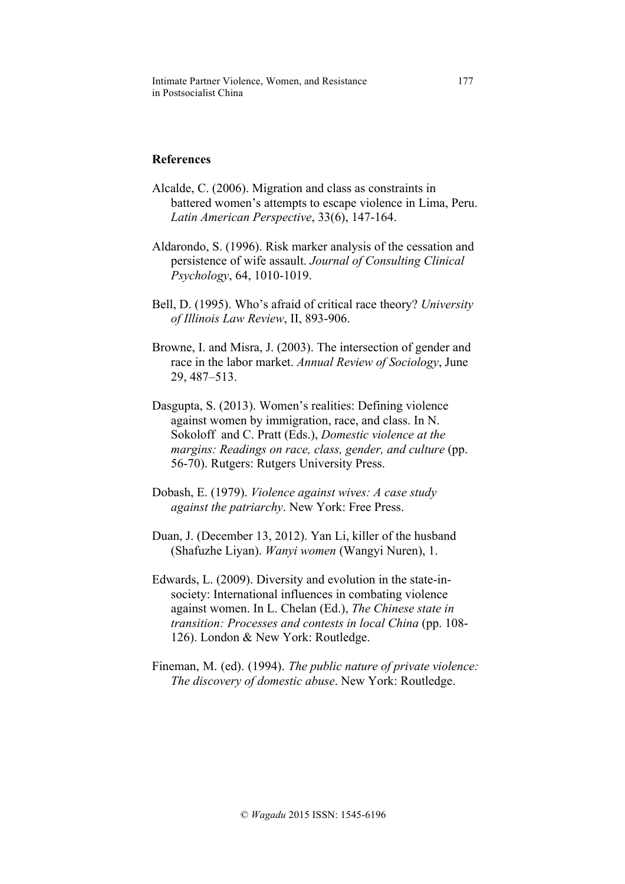Intimate Partner Violence, Women, and Resistance 177 in Postsocialist China

## **References**

- Alcalde, C. (2006). Migration and class as constraints in battered women's attempts to escape violence in Lima, Peru. *Latin American Perspective*, 33(6), 147-164.
- Aldarondo, S. (1996). Risk marker analysis of the cessation and persistence of wife assault. *Journal of Consulting Clinical Psychology*, 64, 1010-1019.
- Bell, D. (1995). Who's afraid of critical race theory? *University of Illinois Law Review*, II, 893-906.
- Browne, I. and Misra, J. (2003). The intersection of gender and race in the labor market. *Annual Review of Sociology*, June 29, 487–513.
- Dasgupta, S. (2013). Women's realities: Defining violence against women by immigration, race, and class. In N. Sokoloff and C. Pratt (Eds.), *Domestic violence at the margins: Readings on race, class, gender, and culture* (pp. 56-70). Rutgers: Rutgers University Press.
- Dobash, E. (1979). *Violence against wives: A case study against the patriarchy*. New York: Free Press.
- Duan, J. (December 13, 2012). Yan Li, killer of the husband (Shafuzhe Liyan). *Wanyi women* (Wangyi Nuren), 1.
- Edwards, L. (2009). Diversity and evolution in the state-insociety: International influences in combating violence against women. In L. Chelan (Ed.), *The Chinese state in transition: Processes and contests in local China* (pp. 108- 126). London & New York: Routledge.
- Fineman, M. (ed). (1994). *The public nature of private violence: The discovery of domestic abuse*. New York: Routledge.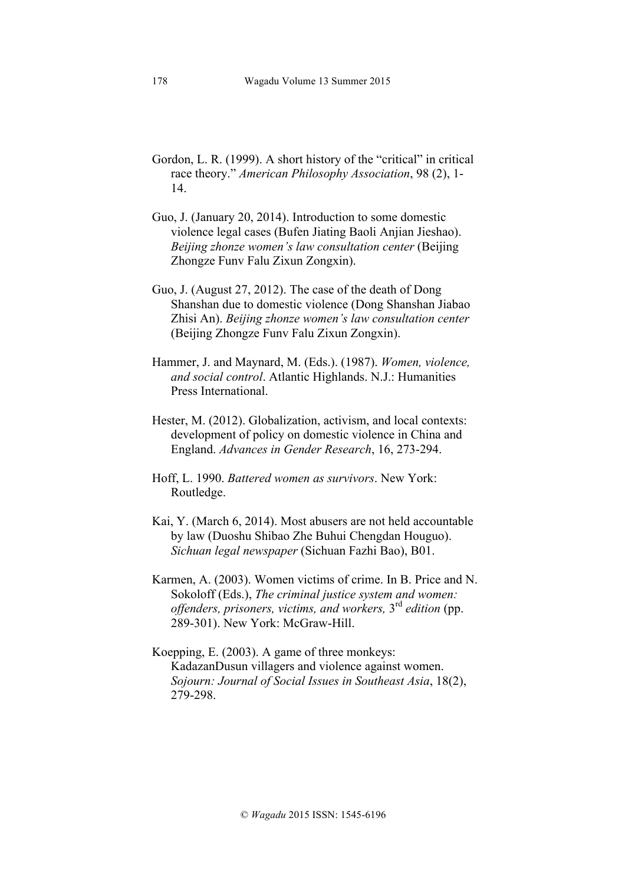- Gordon, L. R. (1999). A short history of the "critical" in critical race theory." *American Philosophy Association*, 98 (2), 1- 14.
- Guo, J. (January 20, 2014). Introduction to some domestic violence legal cases (Bufen Jiating Baoli Anjian Jieshao). *Beijing zhonze women's law consultation center* (Beijing Zhongze Funv Falu Zixun Zongxin).
- Guo, J. (August 27, 2012). The case of the death of Dong Shanshan due to domestic violence (Dong Shanshan Jiabao Zhisi An). *Beijing zhonze women's law consultation center* (Beijing Zhongze Funv Falu Zixun Zongxin).
- Hammer, J. and Maynard, M. (Eds.). (1987). *Women, violence, and social control*. Atlantic Highlands. N.J.: Humanities Press International.
- Hester, M. (2012). Globalization, activism, and local contexts: development of policy on domestic violence in China and England. *Advances in Gender Research*, 16, 273-294.
- Hoff, L. 1990. *Battered women as survivors*. New York: Routledge.
- Kai, Y. (March 6, 2014). Most abusers are not held accountable by law (Duoshu Shibao Zhe Buhui Chengdan Houguo). *Sichuan legal newspaper* (Sichuan Fazhi Bao), B01.
- Karmen, A. (2003). Women victims of crime. In B. Price and N. Sokoloff (Eds.), *The criminal justice system and women: offenders, prisoners, victims, and workers,* 3rd *edition* (pp. 289-301). New York: McGraw-Hill.
- Koepping, E. (2003). A game of three monkeys: KadazanDusun villagers and violence against women. *Sojourn: Journal of Social Issues in Southeast Asia*, 18(2), 279-298.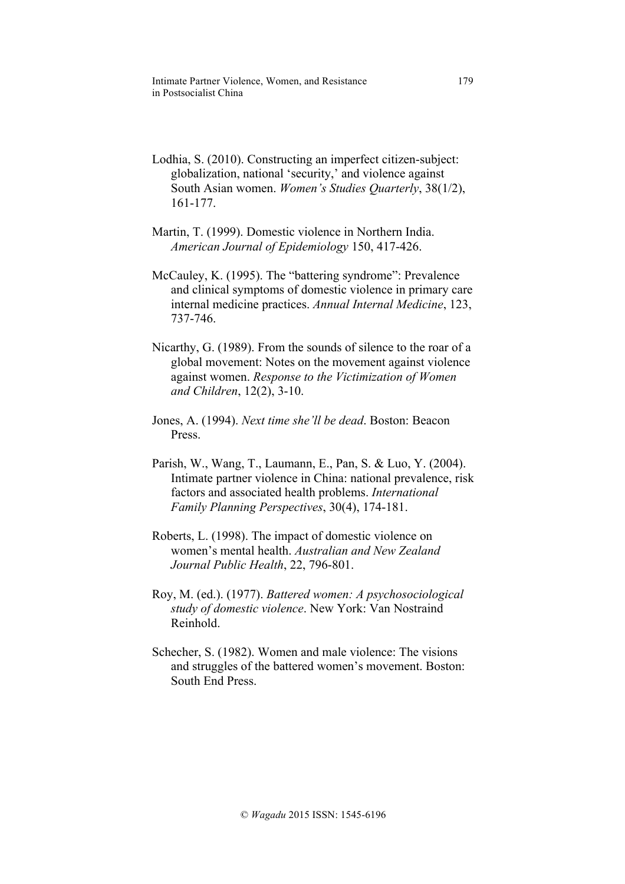- Lodhia, S. (2010). Constructing an imperfect citizen-subject: globalization, national 'security,' and violence against South Asian women. *Women's Studies Quarterly*, 38(1/2), 161-177.
- Martin, T. (1999). Domestic violence in Northern India. *American Journal of Epidemiology* 150, 417-426.
- McCauley, K. (1995). The "battering syndrome": Prevalence and clinical symptoms of domestic violence in primary care internal medicine practices. *Annual Internal Medicine*, 123, 737-746.
- Nicarthy, G. (1989). From the sounds of silence to the roar of a global movement: Notes on the movement against violence against women. *Response to the Victimization of Women and Children*, 12(2), 3-10.
- Jones, A. (1994). *Next time she'll be dead*. Boston: Beacon Press.
- Parish, W., Wang, T., Laumann, E., Pan, S. & Luo, Y. (2004). Intimate partner violence in China: national prevalence, risk factors and associated health problems. *International Family Planning Perspectives*, 30(4), 174-181.
- Roberts, L. (1998). The impact of domestic violence on women's mental health. *Australian and New Zealand Journal Public Health*, 22, 796-801.
- Roy, M. (ed.). (1977). *Battered women: A psychosociological study of domestic violence*. New York: Van Nostraind Reinhold.
- Schecher, S. (1982). Women and male violence: The visions and struggles of the battered women's movement. Boston: South End Press.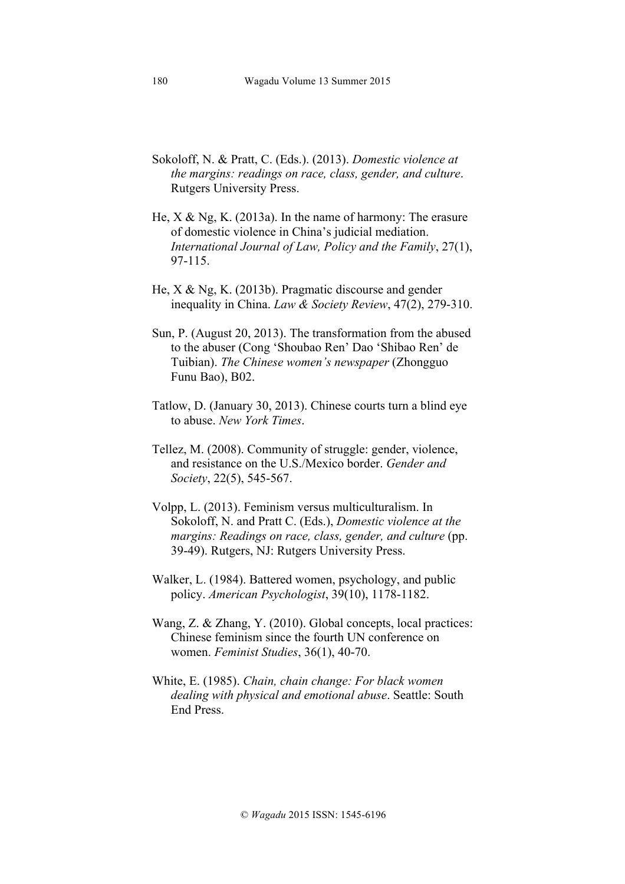- Sokoloff, N. & Pratt, C. (Eds.). (2013). *Domestic violence at the margins: readings on race, class, gender, and culture*. Rutgers University Press.
- He, X & Ng, K. (2013a). In the name of harmony: The erasure of domestic violence in China's judicial mediation. *International Journal of Law, Policy and the Family*, 27(1), 97-115.
- He, X & Ng, K. (2013b). Pragmatic discourse and gender inequality in China. *Law & Society Review*, 47(2), 279-310.
- Sun, P. (August 20, 2013). The transformation from the abused to the abuser (Cong 'Shoubao Ren' Dao 'Shibao Ren' de Tuibian). *The Chinese women's newspaper* (Zhongguo Funu Bao), B02.
- Tatlow, D. (January 30, 2013). Chinese courts turn a blind eye to abuse. *New York Times*.
- Tellez, M. (2008). Community of struggle: gender, violence, and resistance on the U.S./Mexico border. *Gender and Society*, 22(5), 545-567.
- Volpp, L. (2013). Feminism versus multiculturalism. In Sokoloff, N. and Pratt C. (Eds.), *Domestic violence at the margins: Readings on race, class, gender, and culture* (pp. 39-49). Rutgers, NJ: Rutgers University Press.
- Walker, L. (1984). Battered women, psychology, and public policy. *American Psychologist*, 39(10), 1178-1182.
- Wang, Z. & Zhang, Y. (2010). Global concepts, local practices: Chinese feminism since the fourth UN conference on women. *Feminist Studies*, 36(1), 40-70.
- White, E. (1985). *Chain, chain change: For black women dealing with physical and emotional abuse*. Seattle: South End Press.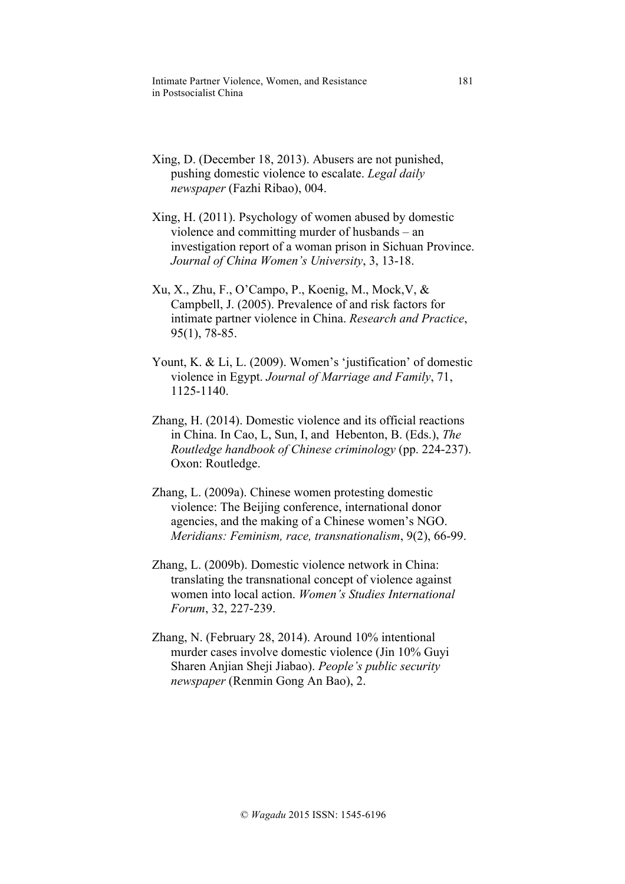Intimate Partner Violence, Women, and Resistance 181 in Postsocialist China

- Xing, D. (December 18, 2013). Abusers are not punished, pushing domestic violence to escalate. *Legal daily newspaper* (Fazhi Ribao), 004.
- Xing, H. (2011). Psychology of women abused by domestic violence and committing murder of husbands – an investigation report of a woman prison in Sichuan Province. *Journal of China Women's University*, 3, 13-18.
- Xu, X., Zhu, F., O'Campo, P., Koenig, M., Mock,V, & Campbell, J. (2005). Prevalence of and risk factors for intimate partner violence in China. *Research and Practice*, 95(1), 78-85.
- Yount, K. & Li, L. (2009). Women's 'justification' of domestic violence in Egypt. *Journal of Marriage and Family*, 71, 1125-1140.
- Zhang, H. (2014). Domestic violence and its official reactions in China. In Cao, L, Sun, I, and Hebenton, B. (Eds.), *The Routledge handbook of Chinese criminology* (pp. 224-237). Oxon: Routledge.
- Zhang, L. (2009a). Chinese women protesting domestic violence: The Beijing conference, international donor agencies, and the making of a Chinese women's NGO. *Meridians: Feminism, race, transnationalism*, 9(2), 66-99.
- Zhang, L. (2009b). Domestic violence network in China: translating the transnational concept of violence against women into local action. *Women's Studies International Forum*, 32, 227-239.
- Zhang, N. (February 28, 2014). Around 10% intentional murder cases involve domestic violence (Jin 10% Guyi Sharen Anjian Sheji Jiabao). *People's public security newspaper* (Renmin Gong An Bao), 2.